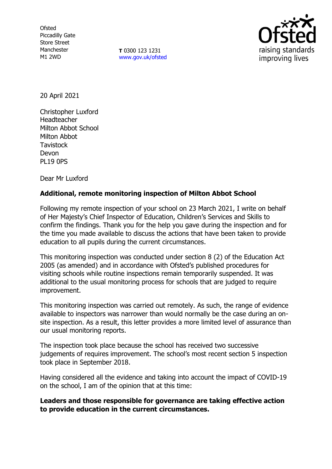**Ofsted** Piccadilly Gate Store Street Manchester M1 2WD

**T** 0300 123 1231 [www.gov.uk/ofsted](http://www.gov.uk/ofsted)



20 April 2021

Christopher Luxford Headteacher Milton Abbot School Milton Abbot **Tavistock** Devon PL19 0PS

Dear Mr Luxford

## **Additional, remote monitoring inspection of Milton Abbot School**

Following my remote inspection of your school on 23 March 2021, I write on behalf of Her Majesty's Chief Inspector of Education, Children's Services and Skills to confirm the findings. Thank you for the help you gave during the inspection and for the time you made available to discuss the actions that have been taken to provide education to all pupils during the current circumstances.

This monitoring inspection was conducted under section 8 (2) of the Education Act 2005 (as amended) and in accordance with Ofsted's published procedures for visiting schools while routine inspections remain temporarily suspended. It was additional to the usual monitoring process for schools that are judged to require improvement.

This monitoring inspection was carried out remotely. As such, the range of evidence available to inspectors was narrower than would normally be the case during an onsite inspection. As a result, this letter provides a more limited level of assurance than our usual monitoring reports.

The inspection took place because the school has received two successive judgements of requires improvement. The school's most recent section 5 inspection took place in September 2018.

Having considered all the evidence and taking into account the impact of COVID-19 on the school, I am of the opinion that at this time:

**Leaders and those responsible for governance are taking effective action to provide education in the current circumstances.**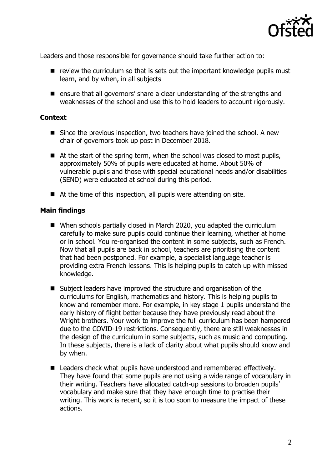

Leaders and those responsible for governance should take further action to:

- $\blacksquare$  review the curriculum so that is sets out the important knowledge pupils must learn, and by when, in all subjects
- ensure that all governors' share a clear understanding of the strengths and weaknesses of the school and use this to hold leaders to account rigorously.

## **Context**

- Since the previous inspection, two teachers have joined the school. A new chair of governors took up post in December 2018.
- At the start of the spring term, when the school was closed to most pupils, approximately 50% of pupils were educated at home. About 50% of vulnerable pupils and those with special educational needs and/or disabilities (SEND) were educated at school during this period.
- At the time of this inspection, all pupils were attending on site.

## **Main findings**

- When schools partially closed in March 2020, you adapted the curriculum carefully to make sure pupils could continue their learning, whether at home or in school. You re-organised the content in some subjects, such as French. Now that all pupils are back in school, teachers are prioritising the content that had been postponed. For example, a specialist language teacher is providing extra French lessons. This is helping pupils to catch up with missed knowledge.
- Subject leaders have improved the structure and organisation of the curriculums for English, mathematics and history. This is helping pupils to know and remember more. For example, in key stage 1 pupils understand the early history of flight better because they have previously read about the Wright brothers. Your work to improve the full curriculum has been hampered due to the COVID-19 restrictions. Consequently, there are still weaknesses in the design of the curriculum in some subjects, such as music and computing. In these subjects, there is a lack of clarity about what pupils should know and by when.
- $\blacksquare$  Leaders check what pupils have understood and remembered effectively. They have found that some pupils are not using a wide range of vocabulary in their writing. Teachers have allocated catch-up sessions to broaden pupils' vocabulary and make sure that they have enough time to practise their writing. This work is recent, so it is too soon to measure the impact of these actions.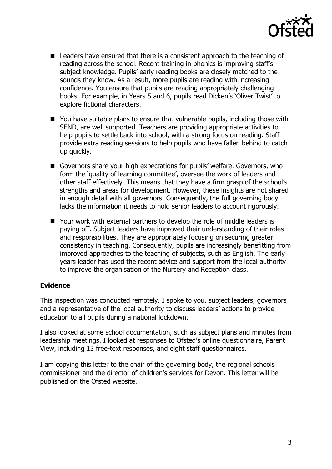

- Leaders have ensured that there is a consistent approach to the teaching of reading across the school. Recent training in phonics is improving staff's subject knowledge. Pupils' early reading books are closely matched to the sounds they know. As a result, more pupils are reading with increasing confidence. You ensure that pupils are reading appropriately challenging books. For example, in Years 5 and 6, pupils read Dicken's 'Oliver Twist' to explore fictional characters.
- You have suitable plans to ensure that vulnerable pupils, including those with SEND, are well supported. Teachers are providing appropriate activities to help pupils to settle back into school, with a strong focus on reading. Staff provide extra reading sessions to help pupils who have fallen behind to catch up quickly.
- Governors share your high expectations for pupils' welfare. Governors, who form the 'quality of learning committee', oversee the work of leaders and other staff effectively. This means that they have a firm grasp of the school's strengths and areas for development. However, these insights are not shared in enough detail with all governors. Consequently, the full governing body lacks the information it needs to hold senior leaders to account rigorously.
- Your work with external partners to develop the role of middle leaders is paying off. Subject leaders have improved their understanding of their roles and responsibilities. They are appropriately focusing on securing greater consistency in teaching. Consequently, pupils are increasingly benefitting from improved approaches to the teaching of subjects, such as English. The early years leader has used the recent advice and support from the local authority to improve the organisation of the Nursery and Reception class.

## **Evidence**

This inspection was conducted remotely. I spoke to you, subject leaders, governors and a representative of the local authority to discuss leaders' actions to provide education to all pupils during a national lockdown.

I also looked at some school documentation, such as subject plans and minutes from leadership meetings. I looked at responses to Ofsted's online questionnaire, Parent View, including 13 free-text responses, and eight staff questionnaires.

I am copying this letter to the chair of the governing body, the regional schools commissioner and the director of children's services for Devon. This letter will be published on the Ofsted website.